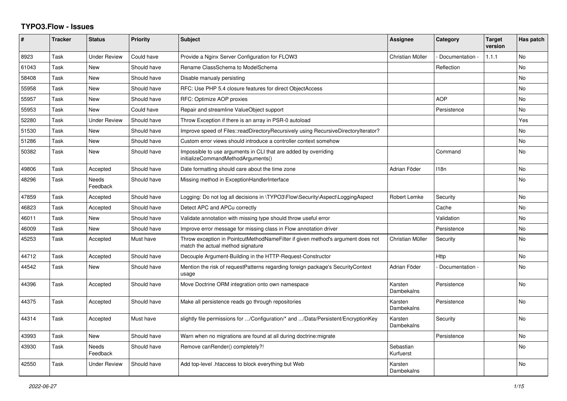## **TYPO3.Flow - Issues**

| #     | <b>Tracker</b> | <b>Status</b>            | <b>Priority</b> | <b>Subject</b>                                                                                                       | <b>Assignee</b>        | Category        | <b>Target</b><br>version | Has patch      |
|-------|----------------|--------------------------|-----------------|----------------------------------------------------------------------------------------------------------------------|------------------------|-----------------|--------------------------|----------------|
| 8923  | Task           | <b>Under Review</b>      | Could have      | Provide a Nginx Server Configuration for FLOW3                                                                       | Christian Müller       | Documentation - | 1.1.1                    | <b>No</b>      |
| 61043 | Task           | <b>New</b>               | Should have     | Rename ClassSchema to ModelSchema                                                                                    |                        | Reflection      |                          | No             |
| 58408 | Task           | <b>New</b>               | Should have     | Disable manualy persisting                                                                                           |                        |                 |                          | N <sub>o</sub> |
| 55958 | Task           | <b>New</b>               | Should have     | RFC: Use PHP 5.4 closure features for direct ObjectAccess                                                            |                        |                 |                          | N <sub>o</sub> |
| 55957 | Task           | New                      | Should have     | RFC: Optimize AOP proxies                                                                                            |                        | <b>AOP</b>      |                          | N <sub>o</sub> |
| 55953 | Task           | <b>New</b>               | Could have      | Repair and streamline ValueObject support                                                                            |                        | Persistence     |                          | No             |
| 52280 | Task           | <b>Under Review</b>      | Should have     | Throw Exception if there is an array in PSR-0 autoload                                                               |                        |                 |                          | Yes            |
| 51530 | Task           | <b>New</b>               | Should have     | Improve speed of Files::readDirectoryRecursively using RecursiveDirectoryIterator?                                   |                        |                 |                          | N <sub>o</sub> |
| 51286 | Task           | New                      | Should have     | Custom error views should introduce a controller context somehow                                                     |                        |                 |                          | No             |
| 50382 | Task           | <b>New</b>               | Should have     | Impossible to use arguments in CLI that are added by overriding<br>initializeCommandMethodArguments()                |                        | Command         |                          | No.            |
| 49806 | Task           | Accepted                 | Should have     | Date formatting should care about the time zone                                                                      | Adrian Föder           | 118n            |                          | N <sub>o</sub> |
| 48296 | Task           | <b>Needs</b><br>Feedback | Should have     | Missing method in ExceptionHandlerInterface                                                                          |                        |                 |                          | N <sub>o</sub> |
| 47859 | Task           | Accepted                 | Should have     | Logging: Do not log all decisions in \TYPO3\Flow\Security\Aspect\LoggingAspect                                       | Robert Lemke           | Security        |                          | No             |
| 46823 | Task           | Accepted                 | Should have     | Detect APC and APCu correctly                                                                                        |                        | Cache           |                          | N <sub>o</sub> |
| 46011 | Task           | <b>New</b>               | Should have     | Validate annotation with missing type should throw useful error                                                      |                        | Validation      |                          | No             |
| 46009 | Task           | <b>New</b>               | Should have     | Improve error message for missing class in Flow annotation driver                                                    |                        | Persistence     |                          | N <sub>o</sub> |
| 45253 | Task           | Accepted                 | Must have       | Throw exception in PointcutMethodNameFilter if given method's argument does not<br>match the actual method signature | Christian Müller       | Security        |                          | No             |
| 44712 | Task           | Accepted                 | Should have     | Decouple Argument-Building in the HTTP-Request-Constructor                                                           |                        | Http            |                          | N <sub>o</sub> |
| 44542 | Task           | New                      | Should have     | Mention the risk of requestPatterns regarding foreign package's SecurityContext<br>usage                             | Adrian Föder           | Documentation - |                          | No             |
| 44396 | Task           | Accepted                 | Should have     | Move Doctrine ORM integration onto own namespace                                                                     | Karsten<br>Dambekalns  | Persistence     |                          | No.            |
| 44375 | Task           | Accepted                 | Should have     | Make all persistence reads go through repositories                                                                   | Karsten<br>Dambekalns  | Persistence     |                          | No.            |
| 44314 | Task           | Accepted                 | Must have       | slightly file permissions for /Configuration/* and /Data/Persistent/EncryptionKey                                    | Karsten<br>Dambekalns  | Security        |                          | N <sub>o</sub> |
| 43993 | Task           | <b>New</b>               | Should have     | Warn when no migrations are found at all during doctrine: migrate                                                    |                        | Persistence     |                          | No             |
| 43930 | Task           | <b>Needs</b><br>Feedback | Should have     | Remove canRender() completely?!                                                                                      | Sebastian<br>Kurfuerst |                 |                          | No.            |
| 42550 | Task           | <b>Under Review</b>      | Should have     | Add top-level .htaccess to block everything but Web                                                                  | Karsten<br>Dambekalns  |                 |                          | <b>No</b>      |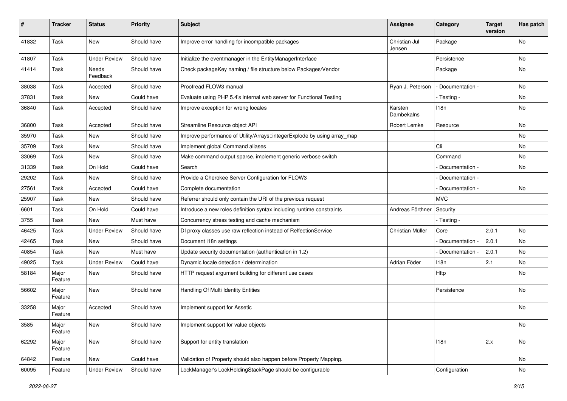| #     | <b>Tracker</b>   | <b>Status</b>       | <b>Priority</b> | <b>Subject</b>                                                           | <b>Assignee</b>         | Category          | <b>Target</b><br>version | Has patch |
|-------|------------------|---------------------|-----------------|--------------------------------------------------------------------------|-------------------------|-------------------|--------------------------|-----------|
| 41832 | Task             | New                 | Should have     | Improve error handling for incompatible packages                         | Christian Jul<br>Jensen | Package           |                          | No        |
| 41807 | Task             | <b>Under Review</b> | Should have     | Initialize the eventmanager in the EntityManagerInterface                |                         | Persistence       |                          | No        |
| 41414 | Task             | Needs<br>Feedback   | Should have     | Check packageKey naming / file structure below Packages/Vendor           |                         | Package           |                          | No        |
| 38038 | Task             | Accepted            | Should have     | Proofread FLOW3 manual                                                   | Ryan J. Peterson        | - Documentation - |                          | <b>No</b> |
| 37831 | Task             | New                 | Could have      | Evaluate using PHP 5.4's internal web server for Functional Testing      |                         | - Testing -       |                          | No        |
| 36840 | Task             | Accepted            | Should have     | Improve exception for wrong locales                                      | Karsten<br>Dambekalns   | 118n              |                          | No        |
| 36800 | Task             | Accepted            | Should have     | Streamline Resource object API                                           | Robert Lemke            | Resource          |                          | <b>No</b> |
| 35970 | Task             | New                 | Should have     | Improve performance of Utility/Arrays::integerExplode by using array_map |                         |                   |                          | No        |
| 35709 | Task             | <b>New</b>          | Should have     | Implement global Command aliases                                         |                         | Cli               |                          | No        |
| 33069 | Task             | New                 | Should have     | Make command output sparse, implement generic verbose switch             |                         | Command           |                          | No        |
| 31339 | Task             | On Hold             | Could have      | Search                                                                   |                         | Documentation -   |                          | <b>No</b> |
| 29202 | Task             | New                 | Should have     | Provide a Cherokee Server Configuration for FLOW3                        |                         | Documentation -   |                          |           |
| 27561 | Task             | Accepted            | Could have      | Complete documentation                                                   |                         | Documentation -   |                          | No        |
| 25907 | Task             | New                 | Should have     | Referrer should only contain the URI of the previous request             |                         | <b>MVC</b>        |                          |           |
| 6601  | Task             | On Hold             | Could have      | Introduce a new roles definition syntax including runtime constraints    | Andreas Förthner        | Security          |                          |           |
| 3755  | Task             | New                 | Must have       | Concurrency stress testing and cache mechanism                           |                         | - Testing -       |                          |           |
| 46425 | Task             | <b>Under Review</b> | Should have     | DI proxy classes use raw reflection instead of RelfectionService         | Christian Müller        | Core              | 2.0.1                    | No        |
| 42465 | Task             | New                 | Should have     | Document i18n settings                                                   |                         | - Documentation - | 2.0.1                    | <b>No</b> |
| 40854 | Task             | New                 | Must have       | Update security documentation (authentication in 1.2)                    |                         | Documentation -   | 2.0.1                    | No        |
| 49025 | Task             | <b>Under Review</b> | Could have      | Dynamic locale detection / determination                                 | Adrian Föder            | 118n              | 2.1                      | No.       |
| 58184 | Major<br>Feature | New                 | Should have     | HTTP request argument building for different use cases                   |                         | Http              |                          | No        |
| 56602 | Major<br>Feature | New                 | Should have     | Handling Of Multi Identity Entities                                      |                         | Persistence       |                          | No        |
| 33258 | Major<br>Feature | Accepted            | Should have     | Implement support for Assetic                                            |                         |                   |                          | No        |
| 3585  | Major<br>Feature | New                 | Should have     | Implement support for value objects                                      |                         |                   |                          | No        |
| 62292 | Major<br>Feature | New                 | Should have     | Support for entity translation                                           |                         | 118n              | 2.x                      | No        |
| 64842 | Feature          | New                 | Could have      | Validation of Property should also happen before Property Mapping.       |                         |                   |                          | No        |
| 60095 | Feature          | <b>Under Review</b> | Should have     | LockManager's LockHoldingStackPage should be configurable                |                         | Configuration     |                          | No        |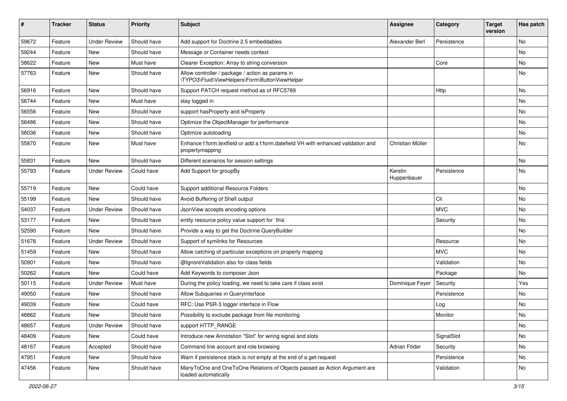| ∦     | <b>Tracker</b> | <b>Status</b>       | <b>Priority</b> | Subject                                                                                               | <b>Assignee</b>        | Category    | <b>Target</b><br>version | Has patch |
|-------|----------------|---------------------|-----------------|-------------------------------------------------------------------------------------------------------|------------------------|-------------|--------------------------|-----------|
| 59672 | Feature        | <b>Under Review</b> | Should have     | Add support for Doctrine 2.5 embeddables                                                              | Alexander Berl         | Persistence |                          | <b>No</b> |
| 59244 | Feature        | <b>New</b>          | Should have     | Message or Container needs context                                                                    |                        |             |                          | No        |
| 58622 | Feature        | New                 | Must have       | Clearer Exception: Array to string conversion                                                         |                        | Core        |                          | No        |
| 57763 | Feature        | New                 | Should have     | Allow controller / package / action as params in<br>\TYPO3\Fluid\ViewHelpers\Form\ButtonViewHelper    |                        |             |                          | No        |
| 56916 | Feature        | <b>New</b>          | Should have     | Support PATCH request method as of RFC5789                                                            |                        | Http        |                          | <b>No</b> |
| 56744 | Feature        | New                 | Must have       | stay logged in                                                                                        |                        |             |                          | No        |
| 56556 | Feature        | New                 | Should have     | support has Property and is Property                                                                  |                        |             |                          | No        |
| 56486 | Feature        | New                 | Should have     | Optimize the ObjectManager for performance                                                            |                        |             |                          | No        |
| 56036 | Feature        | New                 | Should have     | Optimize autoloading                                                                                  |                        |             |                          | No        |
| 55870 | Feature        | New                 | Must have       | Enhance f:form.textfield or add a f:form.datefield VH with enhanced validation and<br>propertymapping | Christian Müller       |             |                          | No        |
| 55831 | Feature        | New                 | Should have     | Different scenarios for session settings                                                              |                        |             |                          | No        |
| 55793 | Feature        | <b>Under Review</b> | Could have      | Add Support for groupBy                                                                               | Kerstin<br>Huppenbauer | Persistence |                          | No        |
| 55719 | Feature        | New                 | Could have      | Support additional Resource Folders                                                                   |                        |             |                          | No        |
| 55199 | Feature        | New                 | Should have     | Avoid Buffering of Shell output                                                                       |                        | Cli         |                          | No        |
| 54037 | Feature        | <b>Under Review</b> | Should have     | JsonView accepts encoding options                                                                     |                        | <b>MVC</b>  |                          | No        |
| 53177 | Feature        | New                 | Should have     | entity resource policy value support for `this`                                                       |                        | Security    |                          | No        |
| 52590 | Feature        | <b>New</b>          | Should have     | Provide a way to get the Doctrine QueryBuilder                                                        |                        |             |                          | No        |
| 51676 | Feature        | <b>Under Review</b> | Should have     | Support of symlinks for Resources                                                                     |                        | Resource    |                          | No        |
| 51459 | Feature        | New                 | Should have     | Allow catching of particular exceptions on property mapping                                           |                        | <b>MVC</b>  |                          | <b>No</b> |
| 50901 | Feature        | New                 | Should have     | @IgnoreValidation also for class fields                                                               |                        | Validation  |                          | No        |
| 50262 | Feature        | <b>New</b>          | Could have      | Add Keywords to composer Json                                                                         |                        | Package     |                          | No        |
| 50115 | Feature        | <b>Under Review</b> | Must have       | During the policy loading, we need to take care if class exist                                        | Dominique Feyer        | Security    |                          | Yes       |
| 49050 | Feature        | New                 | Should have     | Allow Subqueries in QueryInterface                                                                    |                        | Persistence |                          | No        |
| 49039 | Feature        | New                 | Could have      | RFC: Use PSR-3 logger interface in Flow                                                               |                        | Log         |                          | <b>No</b> |
| 48862 | Feature        | New                 | Should have     | Possibility to exclude package from file monitoring                                                   |                        | Monitor     |                          | No        |
| 48657 | Feature        | <b>Under Review</b> | Should have     | support HTTP_RANGE                                                                                    |                        |             |                          | No        |
| 48409 | Feature        | New                 | Could have      | Introduce new Annotation "Slot" for wiring signal and slots                                           |                        | SignalSlot  |                          | No        |
| 48167 | Feature        | Accepted            | Should have     | Command line account and role browsing                                                                | Adrian Föder           | Security    |                          | No        |
| 47951 | Feature        | New                 | Should have     | Warn if persistence stack is not empty at the end of a get-request                                    |                        | Persistence |                          | No        |
| 47456 | Feature        | New                 | Should have     | ManyToOne and OneToOne Relations of Objects passed as Action Argument are<br>loaded automatically     |                        | Validation  |                          | No        |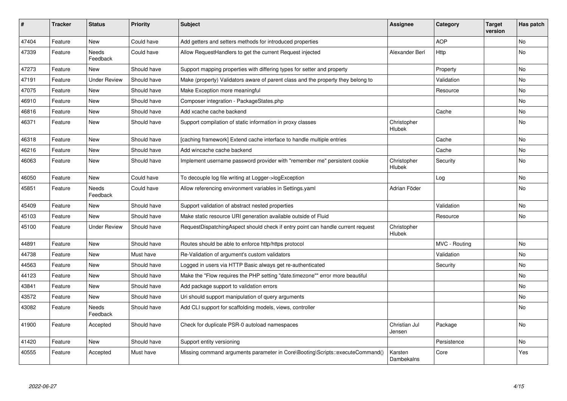| #     | <b>Tracker</b> | <b>Status</b>            | <b>Priority</b> | <b>Subject</b>                                                                   | Assignee                | Category      | <b>Target</b><br>version | Has patch |
|-------|----------------|--------------------------|-----------------|----------------------------------------------------------------------------------|-------------------------|---------------|--------------------------|-----------|
| 47404 | Feature        | <b>New</b>               | Could have      | Add getters and setters methods for introduced properties                        |                         | <b>AOP</b>    |                          | <b>No</b> |
| 47339 | Feature        | Needs<br>Feedback        | Could have      | Allow RequestHandlers to get the current Request injected                        | Alexander Berl          | Http          |                          | No        |
| 47273 | Feature        | <b>New</b>               | Should have     | Support mapping properties with differing types for setter and property          |                         | Property      |                          | <b>No</b> |
| 47191 | Feature        | <b>Under Review</b>      | Should have     | Make (property) Validators aware of parent class and the property they belong to |                         | Validation    |                          | No        |
| 47075 | Feature        | <b>New</b>               | Should have     | Make Exception more meaningful                                                   |                         | Resource      |                          | No        |
| 46910 | Feature        | <b>New</b>               | Should have     | Composer integration - PackageStates.php                                         |                         |               |                          | <b>No</b> |
| 46816 | Feature        | New                      | Should have     | Add xcache cache backend                                                         |                         | Cache         |                          | No        |
| 46371 | Feature        | <b>New</b>               | Should have     | Support compilation of static information in proxy classes                       | Christopher<br>Hlubek   |               |                          | No        |
| 46318 | Feature        | <b>New</b>               | Should have     | [caching framework] Extend cache interface to handle multiple entries            |                         | Cache         |                          | <b>No</b> |
| 46216 | Feature        | <b>New</b>               | Should have     | Add wincache cache backend                                                       |                         | Cache         |                          | <b>No</b> |
| 46063 | Feature        | <b>New</b>               | Should have     | Implement username password provider with "remember me" persistent cookie        | Christopher<br>Hlubek   | Security      |                          | <b>No</b> |
| 46050 | Feature        | <b>New</b>               | Could have      | To decouple log file writing at Logger->logException                             |                         | Log           |                          | <b>No</b> |
| 45851 | Feature        | <b>Needs</b><br>Feedback | Could have      | Allow referencing environment variables in Settings.yaml                         | Adrian Föder            |               |                          | <b>No</b> |
| 45409 | Feature        | <b>New</b>               | Should have     | Support validation of abstract nested properties                                 |                         | Validation    |                          | <b>No</b> |
| 45103 | Feature        | <b>New</b>               | Should have     | Make static resource URI generation available outside of Fluid                   |                         | Resource      |                          | <b>No</b> |
| 45100 | Feature        | <b>Under Review</b>      | Should have     | RequestDispatchingAspect should check if entry point can handle current request  | Christopher<br>Hlubek   |               |                          |           |
| 44891 | Feature        | <b>New</b>               | Should have     | Routes should be able to enforce http/https protocol                             |                         | MVC - Routing |                          | No        |
| 44738 | Feature        | New                      | Must have       | Re-Validation of argument's custom validators                                    |                         | Validation    |                          | No        |
| 44563 | Feature        | New                      | Should have     | Logged in users via HTTP Basic always get re-authenticated                       |                         | Security      |                          | No        |
| 44123 | Feature        | <b>New</b>               | Should have     | Make the "Flow requires the PHP setting "date.timezone"" error more beautiful    |                         |               |                          | <b>No</b> |
| 43841 | Feature        | New                      | Should have     | Add package support to validation errors                                         |                         |               |                          | <b>No</b> |
| 43572 | Feature        | New                      | Should have     | Uri should support manipulation of query arguments                               |                         |               |                          | <b>No</b> |
| 43082 | Feature        | Needs<br>Feedback        | Should have     | Add CLI support for scaffolding models, views, controller                        |                         |               |                          | No        |
| 41900 | Feature        | Accepted                 | Should have     | Check for duplicate PSR-0 autoload namespaces                                    | Christian Jul<br>Jensen | Package       |                          | <b>No</b> |
| 41420 | Feature        | <b>New</b>               | Should have     | Support entity versioning                                                        |                         | Persistence   |                          | <b>No</b> |
| 40555 | Feature        | Accepted                 | Must have       | Missing command arguments parameter in Core\Booting\Scripts::executeCommand()    | Karsten<br>Dambekalns   | Core          |                          | Yes       |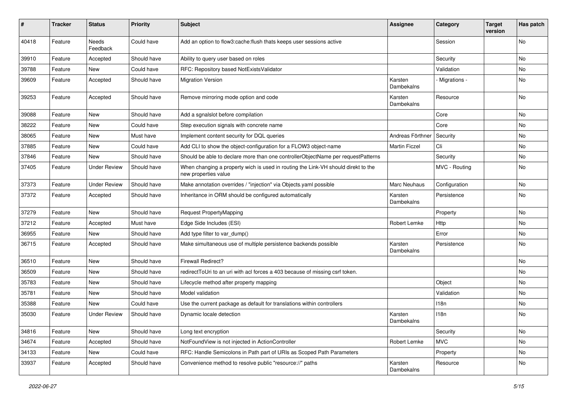| $\pmb{\#}$ | <b>Tracker</b> | <b>Status</b>       | <b>Priority</b> | <b>Subject</b>                                                                                            | <b>Assignee</b>       | Category       | <b>Target</b><br>version | Has patch |
|------------|----------------|---------------------|-----------------|-----------------------------------------------------------------------------------------------------------|-----------------------|----------------|--------------------------|-----------|
| 40418      | Feature        | Needs<br>Feedback   | Could have      | Add an option to flow3:cache:flush thats keeps user sessions active                                       |                       | Session        |                          | <b>No</b> |
| 39910      | Feature        | Accepted            | Should have     | Ability to query user based on roles                                                                      |                       | Security       |                          | No        |
| 39788      | Feature        | New                 | Could have      | RFC: Repository based NotExistsValidator                                                                  |                       | Validation     |                          | No        |
| 39609      | Feature        | Accepted            | Should have     | <b>Migration Version</b>                                                                                  | Karsten<br>Dambekalns | - Migrations - |                          | No        |
| 39253      | Feature        | Accepted            | Should have     | Remove mirroring mode option and code                                                                     | Karsten<br>Dambekalns | Resource       |                          | No        |
| 39088      | Feature        | New                 | Should have     | Add a sgnalslot before compilation                                                                        |                       | Core           |                          | No        |
| 38222      | Feature        | New                 | Could have      | Step execution signals with concrete name                                                                 |                       | Core           |                          | No        |
| 38065      | Feature        | New                 | Must have       | Implement content security for DQL queries                                                                | Andreas Förthner      | Security       |                          | No        |
| 37885      | Feature        | New                 | Could have      | Add CLI to show the object-configuration for a FLOW3 object-name                                          | <b>Martin Ficzel</b>  | Cli            |                          | No        |
| 37846      | Feature        | New                 | Should have     | Should be able to declare more than one controllerObjectName per requestPatterns                          |                       | Security       |                          | No        |
| 37405      | Feature        | <b>Under Review</b> | Should have     | When changing a property wich is used in routing the Link-VH should direkt to the<br>new properties value |                       | MVC - Routing  |                          | No        |
| 37373      | Feature        | <b>Under Review</b> | Should have     | Make annotation overrides / "injection" via Objects.yaml possible                                         | <b>Marc Neuhaus</b>   | Configuration  |                          | <b>No</b> |
| 37372      | Feature        | Accepted            | Should have     | Inheritance in ORM should be configured automatically                                                     | Karsten<br>Dambekalns | Persistence    |                          | No        |
| 37279      | Feature        | New                 | Should have     | Request PropertyMapping                                                                                   |                       | Property       |                          | No        |
| 37212      | Feature        | Accepted            | Must have       | Edge Side Includes (ESI)                                                                                  | Robert Lemke          | Http           |                          | No        |
| 36955      | Feature        | New                 | Should have     | Add type filter to var_dump()                                                                             |                       | Error          |                          | No        |
| 36715      | Feature        | Accepted            | Should have     | Make simultaneous use of multiple persistence backends possible                                           | Karsten<br>Dambekalns | Persistence    |                          | No        |
| 36510      | Feature        | New                 | Should have     | <b>Firewall Redirect?</b>                                                                                 |                       |                |                          | No        |
| 36509      | Feature        | New                 | Should have     | redirectToUri to an uri with acl forces a 403 because of missing csrf token.                              |                       |                |                          | No        |
| 35783      | Feature        | New                 | Should have     | Lifecycle method after property mapping                                                                   |                       | Object         |                          | No        |
| 35781      | Feature        | New                 | Should have     | Model validation                                                                                          |                       | Validation     |                          | No        |
| 35388      | Feature        | New                 | Could have      | Use the current package as default for translations within controllers                                    |                       | 118n           |                          | No        |
| 35030      | Feature        | <b>Under Review</b> | Should have     | Dynamic locale detection                                                                                  | Karsten<br>Dambekalns | 118n           |                          | No        |
| 34816      | Feature        | New                 | Should have     | Long text encryption                                                                                      |                       | Security       |                          | No        |
| 34674      | Feature        | Accepted            | Should have     | NotFoundView is not injected in ActionController                                                          | Robert Lemke          | <b>MVC</b>     |                          | No        |
| 34133      | Feature        | New                 | Could have      | RFC: Handle Semicolons in Path part of URIs as Scoped Path Parameters                                     |                       | Property       |                          | No        |
| 33937      | Feature        | Accepted            | Should have     | Convenience method to resolve public "resource://" paths                                                  | Karsten<br>Dambekalns | Resource       |                          | No        |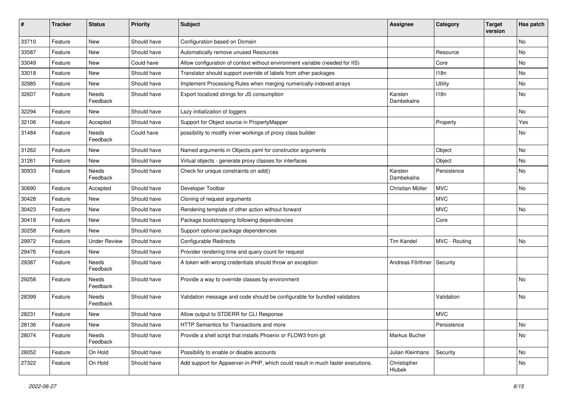| $\sharp$ | <b>Tracker</b> | <b>Status</b>            | <b>Priority</b> | <b>Subject</b>                                                                  | <b>Assignee</b>             | Category      | <b>Target</b><br>version | Has patch |
|----------|----------------|--------------------------|-----------------|---------------------------------------------------------------------------------|-----------------------------|---------------|--------------------------|-----------|
| 33710    | Feature        | New                      | Should have     | Configuration based on Domain                                                   |                             |               |                          | No        |
| 33587    | Feature        | New                      | Should have     | Automatically remove unused Resources                                           |                             | Resource      |                          | No        |
| 33049    | Feature        | New                      | Could have      | Allow configuration of context without environment variable (needed for IIS)    |                             | Core          |                          | No        |
| 33018    | Feature        | New                      | Should have     | Translator should support override of labels from other packages                |                             | 118n          |                          | No        |
| 32985    | Feature        | New                      | Should have     | Implement Processing Rules when merging numerically-indexed arrays              |                             | Utility       |                          | No        |
| 32607    | Feature        | <b>Needs</b><br>Feedback | Should have     | Export localized strings for JS consumption                                     | Karsten<br>Dambekalns       | 118n          |                          | No        |
| 32294    | Feature        | New                      | Should have     | Lazy initialization of loggers                                                  |                             |               |                          | <b>No</b> |
| 32106    | Feature        | Accepted                 | Should have     | Support for Object source in PropertyMapper                                     |                             | Property      |                          | Yes       |
| 31484    | Feature        | Needs<br>Feedback        | Could have      | possibility to modify inner workings of proxy class builder                     |                             |               |                          | No        |
| 31262    | Feature        | <b>New</b>               | Should have     | Named arguments in Objects.yaml for constructor arguments                       |                             | Object        |                          | <b>No</b> |
| 31261    | Feature        | New                      | Should have     | Virtual objects - generate proxy classes for interfaces                         |                             | Object        |                          | No        |
| 30933    | Feature        | <b>Needs</b><br>Feedback | Should have     | Check for unique constraints on add()                                           | Karsten<br>Dambekalns       | Persistence   |                          | No        |
| 30890    | Feature        | Accepted                 | Should have     | Developer Toolbar                                                               | Christian Müller            | <b>MVC</b>    |                          | No        |
| 30428    | Feature        | New                      | Should have     | Cloning of request arguments                                                    |                             | <b>MVC</b>    |                          |           |
| 30423    | Feature        | New                      | Should have     | Rendering template of other action without forward                              |                             | <b>MVC</b>    |                          | No        |
| 30418    | Feature        | New                      | Should have     | Package bootstrapping following dependencies                                    |                             | Core          |                          |           |
| 30258    | Feature        | New                      | Should have     | Support optional package dependencies                                           |                             |               |                          |           |
| 29972    | Feature        | <b>Under Review</b>      | Should have     | <b>Configurable Redirects</b>                                                   | <b>Tim Kandel</b>           | MVC - Routing |                          | No        |
| 29476    | Feature        | New                      | Should have     | Provider rendering time and query count for request                             |                             |               |                          |           |
| 29387    | Feature        | Needs<br>Feedback        | Should have     | A token with wrong credentials should throw an exception                        | Andreas Förthner   Security |               |                          |           |
| 29258    | Feature        | Needs<br>Feedback        | Should have     | Provide a way to override classes by environment                                |                             |               |                          | No        |
| 28399    | Feature        | Needs<br>Feedback        | Should have     | Validation message and code should be configurable for bundled validators       |                             | Validation    |                          | No        |
| 28231    | Feature        | New                      | Should have     | Allow output to STDERR for CLI Response                                         |                             | <b>MVC</b>    |                          |           |
| 28136    | Feature        | New                      | Should have     | HTTP Semantics for Transactions and more                                        |                             | Persistence   |                          | No        |
| 28074    | Feature        | Needs<br>Feedback        | Should have     | Provide a shell script that installs Phoenix or FLOW3 from git                  | Markus Bucher               |               |                          | No        |
| 28052    | Feature        | On Hold                  | Should have     | Possibility to enable or disable accounts                                       | Julian Kleinhans            | Security      |                          | No        |
| 27322    | Feature        | On Hold                  | Should have     | Add support for Appserver-in-PHP, which could result in much faster executions. | Christopher<br>Hlubek       |               |                          | No        |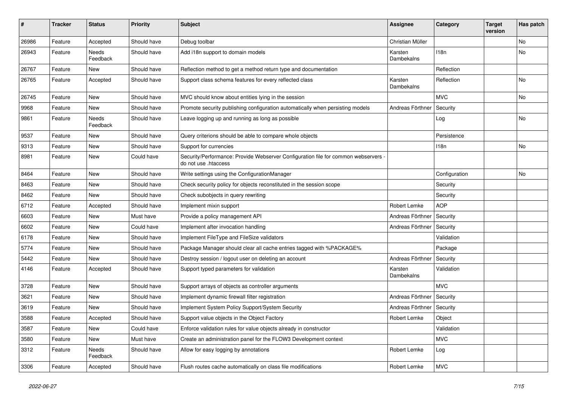| #     | <b>Tracker</b> | <b>Status</b>     | <b>Priority</b> | <b>Subject</b>                                                                                             | Assignee              | Category      | <b>Target</b><br>version | Has patch |
|-------|----------------|-------------------|-----------------|------------------------------------------------------------------------------------------------------------|-----------------------|---------------|--------------------------|-----------|
| 26986 | Feature        | Accepted          | Should have     | Debug toolbar                                                                                              | Christian Müller      |               |                          | No        |
| 26943 | Feature        | Needs<br>Feedback | Should have     | Add i18n support to domain models                                                                          | Karsten<br>Dambekalns | 118n          |                          | No        |
| 26767 | Feature        | <b>New</b>        | Should have     | Reflection method to get a method return type and documentation                                            |                       | Reflection    |                          |           |
| 26765 | Feature        | Accepted          | Should have     | Support class schema features for every reflected class                                                    | Karsten<br>Dambekalns | Reflection    |                          | No        |
| 26745 | Feature        | New               | Should have     | MVC should know about entities lying in the session                                                        |                       | <b>MVC</b>    |                          | No        |
| 9968  | Feature        | New               | Should have     | Promote security publishing configuration automatically when persisting models                             | Andreas Förthner      | Security      |                          |           |
| 9861  | Feature        | Needs<br>Feedback | Should have     | Leave logging up and running as long as possible                                                           |                       | Log           |                          | No        |
| 9537  | Feature        | New               | Should have     | Query criterions should be able to compare whole objects                                                   |                       | Persistence   |                          |           |
| 9313  | Feature        | New               | Should have     | Support for currencies                                                                                     |                       | 118n          |                          | No        |
| 8981  | Feature        | New               | Could have      | Security/Performance: Provide Webserver Configuration file for common webservers -<br>do not use .htaccess |                       |               |                          |           |
| 8464  | Feature        | <b>New</b>        | Should have     | Write settings using the ConfigurationManager                                                              |                       | Configuration |                          | No        |
| 8463  | Feature        | New               | Should have     | Check security policy for objects reconstituted in the session scope                                       |                       | Security      |                          |           |
| 8462  | Feature        | New               | Should have     | Check subobjects in query rewriting                                                                        |                       | Security      |                          |           |
| 6712  | Feature        | Accepted          | Should have     | Implement mixin support                                                                                    | Robert Lemke          | <b>AOP</b>    |                          |           |
| 6603  | Feature        | New               | Must have       | Provide a policy management API                                                                            | Andreas Förthner      | Security      |                          |           |
| 6602  | Feature        | New               | Could have      | Implement after invocation handling                                                                        | Andreas Förthner      | Security      |                          |           |
| 6178  | Feature        | New               | Should have     | Implement FileType and FileSize validators                                                                 |                       | Validation    |                          |           |
| 5774  | Feature        | New               | Should have     | Package Manager should clear all cache entries tagged with %PACKAGE%                                       |                       | Package       |                          |           |
| 5442  | Feature        | New               | Should have     | Destroy session / logout user on deleting an account                                                       | Andreas Förthner      | Security      |                          |           |
| 4146  | Feature        | Accepted          | Should have     | Support typed parameters for validation                                                                    | Karsten<br>Dambekalns | Validation    |                          |           |
| 3728  | Feature        | <b>New</b>        | Should have     | Support arrays of objects as controller arguments                                                          |                       | <b>MVC</b>    |                          |           |
| 3621  | Feature        | New               | Should have     | Implement dynamic firewall filter registration                                                             | Andreas Förthner      | Security      |                          |           |
| 3619  | Feature        | New               | Should have     | Implement System Policy Support/System Security                                                            | Andreas Förthner      | Security      |                          |           |
| 3588  | Feature        | Accepted          | Should have     | Support value objects in the Object Factory                                                                | Robert Lemke          | Object        |                          |           |
| 3587  | Feature        | <b>New</b>        | Could have      | Enforce validation rules for value objects already in constructor                                          |                       | Validation    |                          |           |
| 3580  | Feature        | New               | Must have       | Create an administration panel for the FLOW3 Development context                                           |                       | <b>MVC</b>    |                          |           |
| 3312  | Feature        | Needs<br>Feedback | Should have     | Allow for easy logging by annotations                                                                      | Robert Lemke          | Log           |                          |           |
| 3306  | Feature        | Accepted          | Should have     | Flush routes cache automatically on class file modifications                                               | Robert Lemke          | <b>MVC</b>    |                          |           |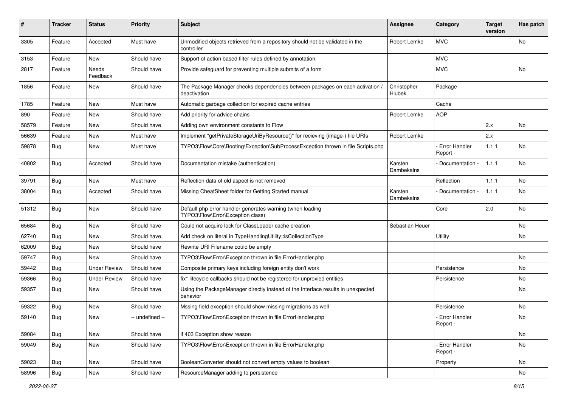| #     | <b>Tracker</b> | <b>Status</b>       | <b>Priority</b> | Subject                                                                                        | <b>Assignee</b>       | Category                         | <b>Target</b><br>version | Has patch |
|-------|----------------|---------------------|-----------------|------------------------------------------------------------------------------------------------|-----------------------|----------------------------------|--------------------------|-----------|
| 3305  | Feature        | Accepted            | Must have       | Unmodified objects retrieved from a repository should not be validated in the<br>controller    | Robert Lemke          | <b>MVC</b>                       |                          | No        |
| 3153  | Feature        | New                 | Should have     | Support of action based filter rules defined by annotation.                                    |                       | <b>MVC</b>                       |                          |           |
| 2817  | Feature        | Needs<br>Feedback   | Should have     | Provide safeguard for preventing multiple submits of a form                                    |                       | <b>MVC</b>                       |                          | No        |
| 1856  | Feature        | New                 | Should have     | The Package Manager checks dependencies between packages on each activation /<br>deactivation  | Christopher<br>Hlubek | Package                          |                          |           |
| 1785  | Feature        | New                 | Must have       | Automatic garbage collection for expired cache entries                                         |                       | Cache                            |                          |           |
| 890   | Feature        | New                 | Should have     | Add priority for advice chains                                                                 | Robert Lemke          | <b>AOP</b>                       |                          |           |
| 58579 | Feature        | New                 | Should have     | Adding own environment constants to Flow                                                       |                       |                                  | 2.x                      | No        |
| 56639 | Feature        | New                 | Must have       | Implement "getPrivateStorageUriByResource()" for recieving (image-) file URIs                  | Robert Lemke          |                                  | 2.x                      |           |
| 59878 | <b>Bug</b>     | New                 | Must have       | TYPO3\Flow\Core\Booting\Exception\SubProcessException thrown in file Scripts.php               |                       | <b>Error Handler</b><br>Report - | 1.1.1                    | No        |
| 40802 | <b>Bug</b>     | Accepted            | Should have     | Documentation mistake (authentication)                                                         | Karsten<br>Dambekalns | Documentation -                  | 1.1.1                    | No        |
| 39791 | <b>Bug</b>     | New                 | Must have       | Reflection data of old aspect is not removed                                                   |                       | Reflection                       | 1.1.1                    | No        |
| 38004 | <b>Bug</b>     | Accepted            | Should have     | Missing CheatSheet folder for Getting Started manual                                           | Karsten<br>Dambekalns | Documentation -                  | 1.1.1                    | No        |
| 51312 | <b>Bug</b>     | New                 | Should have     | Default php error handler generates warning (when loading<br>TYPO3\Flow\Error\Exception class) |                       | Core                             | 2.0                      | <b>No</b> |
| 65684 | <b>Bug</b>     | New                 | Should have     | Could not acquire lock for ClassLoader cache creation                                          | Sebastian Heuer       |                                  |                          | No        |
| 62740 | Bug            | New                 | Should have     | Add check on literal in TypeHandlingUtility::isCollectionType                                  |                       | Utility                          |                          | No        |
| 62009 | <b>Bug</b>     | New                 | Should have     | Rewrite URI Filename could be empty                                                            |                       |                                  |                          |           |
| 59747 | Bug            | New                 | Should have     | TYPO3\Flow\Error\Exception thrown in file ErrorHandler.php                                     |                       |                                  |                          | No        |
| 59442 | Bug            | <b>Under Review</b> | Should have     | Composite primary keys including foreign entity don't work                                     |                       | Persistence                      |                          | No        |
| 59366 | <b>Bug</b>     | <b>Under Review</b> | Should have     | fix* lifecycle callbacks should not be registered for unproxied entities                       |                       | Persistence                      |                          | No        |
| 59357 | Bug            | New                 | Should have     | Using the PackageManager directly instead of the Interface results in unexpected<br>behavior   |                       |                                  |                          | No        |
| 59322 | <b>Bug</b>     | New                 | Should have     | Mssing field exception should show missing migrations as well                                  |                       | Persistence                      |                          | No        |
| 59140 | Bug            | New                 | -- undefined -- | TYPO3\Flow\Error\Exception thrown in file ErrorHandler.php                                     |                       | - Error Handler<br>Report -      |                          | No        |
| 59084 | <b>Bug</b>     | New                 | Should have     | if 403 Exception show reason                                                                   |                       |                                  |                          | No        |
| 59049 | Bug            | New                 | Should have     | TYPO3\Flow\Error\Exception thrown in file ErrorHandler.php                                     |                       | Error Handler<br>Report -        |                          | No        |
| 59023 | Bug            | New                 | Should have     | BooleanConverter should not convert empty values to boolean                                    |                       | Property                         |                          | No        |
| 58996 | Bug            | New                 | Should have     | ResourceManager adding to persistence                                                          |                       |                                  |                          | No        |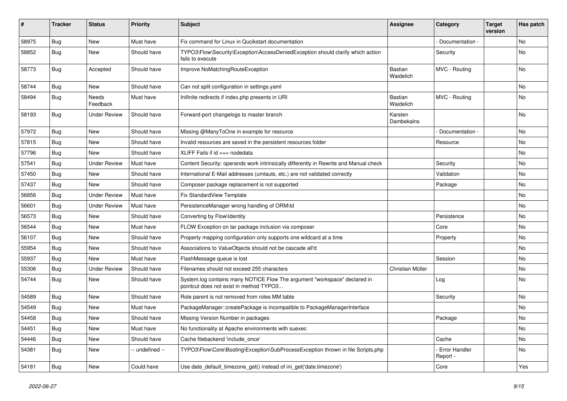| #     | <b>Tracker</b> | <b>Status</b>       | <b>Priority</b> | <b>Subject</b>                                                                                                       | Assignee                    | Category                         | <b>Target</b><br>version | Has patch |
|-------|----------------|---------------------|-----------------|----------------------------------------------------------------------------------------------------------------------|-----------------------------|----------------------------------|--------------------------|-----------|
| 58975 | Bug            | New                 | Must have       | Fix command for Linux in Qucikstart documentation                                                                    |                             | Documentation -                  |                          | No        |
| 58852 | <b>Bug</b>     | New                 | Should have     | TYPO3\Flow\Security\Exception\AccessDeniedException should clarify which action<br>fails to execute                  |                             | Security                         |                          | No        |
| 58773 | <b>Bug</b>     | Accepted            | Should have     | Improve NoMatchingRouteException                                                                                     | <b>Bastian</b><br>Waidelich | MVC - Routing                    |                          | No        |
| 58744 | <b>Bug</b>     | New                 | Should have     | Can not split configuration in settings.yaml                                                                         |                             |                                  |                          | <b>No</b> |
| 58494 | <b>Bug</b>     | Needs<br>Feedback   | Must have       | Inifinite redirects if index.php presents in URI                                                                     | <b>Bastian</b><br>Waidelich | MVC - Routing                    |                          | No        |
| 58193 | <b>Bug</b>     | <b>Under Review</b> | Should have     | Forward-port changelogs to master branch                                                                             | Karsten<br>Dambekalns       |                                  |                          | <b>No</b> |
| 57972 | Bug            | New                 | Should have     | Missing @ManyToOne in example for resource                                                                           |                             | Documentation -                  |                          | <b>No</b> |
| 57815 | Bug            | New                 | Should have     | Invalid resources are saved in the persistent resources folder                                                       |                             | Resource                         |                          | No        |
| 57796 | Bug            | <b>New</b>          | Should have     | XLIFF Fails if $id ==$ nodedata                                                                                      |                             |                                  |                          | No        |
| 57541 | <b>Bug</b>     | <b>Under Review</b> | Must have       | Content Security: operands work intrinsically differently in Rewrite and Manual check                                |                             | Security                         |                          | <b>No</b> |
| 57450 | <b>Bug</b>     | New                 | Should have     | International E-Mail addresses (umlauts, etc.) are not validated correctly                                           |                             | Validation                       |                          | No        |
| 57437 | Bug            | New                 | Should have     | Composer package replacement is not supported                                                                        |                             | Package                          |                          | No        |
| 56856 | Bug            | <b>Under Review</b> | Must have       | Fix StandardView Template                                                                                            |                             |                                  |                          | No        |
| 56601 | <b>Bug</b>     | <b>Under Review</b> | Must have       | PersistenceManager wrong handling of ORM\ld                                                                          |                             |                                  |                          | No        |
| 56573 | Bug            | New                 | Should have     | Converting by Flow\Identity                                                                                          |                             | Persistence                      |                          | No        |
| 56544 | <b>Bug</b>     | <b>New</b>          | Must have       | FLOW Exception on tar package inclusion via composer                                                                 |                             | Core                             |                          | No        |
| 56107 | <b>Bug</b>     | New                 | Should have     | Property mapping configuration only supports one wildcard at a time                                                  |                             | Property                         |                          | No        |
| 55954 | <b>Bug</b>     | New                 | Should have     | Associations to ValueObjects should not be cascade all'd                                                             |                             |                                  |                          | <b>No</b> |
| 55937 | Bug            | New                 | Must have       | FlashMessage queue is lost                                                                                           |                             | Session                          |                          | No        |
| 55306 | Bug            | <b>Under Review</b> | Should have     | Filenames should not exceed 255 characters                                                                           | Christian Müller            |                                  |                          | No        |
| 54744 | <b>Bug</b>     | New                 | Should have     | System.log contains many NOTICE Flow The argument "workspace" declared in<br>pointcut does not exist in method TYPO3 |                             | Log                              |                          | No        |
| 54589 | Bug            | New                 | Should have     | Role parent is not removed from roles MM table                                                                       |                             | Security                         |                          | No        |
| 54549 | Bug            | New                 | Must have       | PackageManager::createPackage is incompatible to PackageManagerInterface                                             |                             |                                  |                          | No        |
| 54458 | Bug            | New                 | Should have     | Missing Version Number in packages                                                                                   |                             | Package                          |                          | No        |
| 54451 | Bug            | New                 | Must have       | No functionality at Apache environments with suexec                                                                  |                             |                                  |                          | No        |
| 54446 | <b>Bug</b>     | New                 | Should have     | Cache filebackend 'include once'                                                                                     |                             | Cache                            |                          | No        |
| 54381 | Bug            | New                 | -- undefined -- | TYPO3\Flow\Core\Booting\Exception\SubProcessException thrown in file Scripts.php                                     |                             | <b>Error Handler</b><br>Report - |                          | No        |
| 54181 | <b>Bug</b>     | New                 | Could have      | Use date_default_timezone_get() instead of ini_get('date.timezone')                                                  |                             | Core                             |                          | Yes       |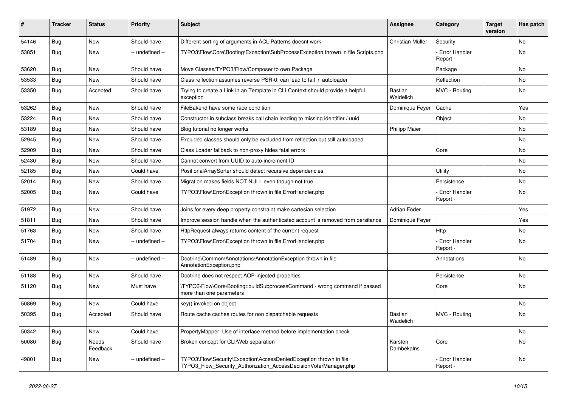| #     | <b>Tracker</b> | <b>Status</b>     | <b>Priority</b> | <b>Subject</b>                                                                                                                         | <b>Assignee</b>       | Category                         | <b>Target</b><br>version | Has patch |
|-------|----------------|-------------------|-----------------|----------------------------------------------------------------------------------------------------------------------------------------|-----------------------|----------------------------------|--------------------------|-----------|
| 54146 | Bug            | <b>New</b>        | Should have     | Different sorting of arguments in ACL Patterns doesnt work                                                                             | Christian Müller      | Security                         |                          | <b>No</b> |
| 53851 | Bug            | <b>New</b>        | -- undefined -- | TYPO3\Flow\Core\Booting\Exception\SubProcessException thrown in file Scripts.php                                                       |                       | <b>Error Handler</b><br>Report - |                          | <b>No</b> |
| 53620 | <b>Bug</b>     | <b>New</b>        | Should have     | Move Classes/TYPO3/Flow/Composer to own Package                                                                                        |                       | Package                          |                          | No        |
| 53533 | <b>Bug</b>     | <b>New</b>        | Should have     | Class reflection assumes reverse PSR-0, can lead to fail in autoloader                                                                 |                       | Reflection                       |                          | No        |
| 53350 | Bug            | Accepted          | Should have     | Trying to create a Link in an Template in CLI Context should provide a helpful<br>exception                                            | Bastian<br>Waidelich  | MVC - Routing                    |                          | No        |
| 53262 | Bug            | <b>New</b>        | Should have     | FileBakend have some race condition                                                                                                    | Dominique Feyer       | Cache                            |                          | Yes       |
| 53224 | Bug            | <b>New</b>        | Should have     | Constructor in subclass breaks call chain leading to missing identifier / uuid                                                         |                       | Object                           |                          | No        |
| 53189 | <b>Bug</b>     | <b>New</b>        | Should have     | Blog tutorial no longer works                                                                                                          | <b>Philipp Maier</b>  |                                  |                          | No        |
| 52945 | <b>Bug</b>     | <b>New</b>        | Should have     | Excluded classes should only be excluded from reflection but still autoloaded                                                          |                       |                                  |                          | No        |
| 52909 | Bug            | <b>New</b>        | Should have     | Class Loader fallback to non-proxy hides fatal errors                                                                                  |                       | Core                             |                          | No        |
| 52430 | Bug            | New               | Should have     | Cannot convert from UUID to auto-increment ID                                                                                          |                       |                                  |                          | No        |
| 52185 | <b>Bug</b>     | <b>New</b>        | Could have      | PositionalArraySorter should detect recursive dependencies                                                                             |                       | Utility                          |                          | No        |
| 52014 | Bug            | <b>New</b>        | Should have     | Migration makes fields NOT NULL even though not true                                                                                   |                       | Persistence                      |                          | <b>No</b> |
| 52005 | Bug            | New               | Could have      | TYPO3\Flow\Error\Exception thrown in file ErrorHandler.php                                                                             |                       | <b>Error Handler</b><br>Report - |                          | <b>No</b> |
| 51972 | <b>Bug</b>     | New               | Should have     | Joins for every deep property constraint make cartesian selection                                                                      | Adrian Föder          |                                  |                          | Yes       |
| 51811 | <b>Bug</b>     | <b>New</b>        | Should have     | Improve session handle when the authenticated account is removed from persitance                                                       | Dominique Feyer       |                                  |                          | Yes       |
| 51763 | <b>Bug</b>     | <b>New</b>        | Should have     | HttpRequest always returns content of the current request                                                                              |                       | Http                             |                          | No        |
| 51704 | <b>Bug</b>     | <b>New</b>        | -- undefined -- | TYPO3\Flow\Error\Exception thrown in file ErrorHandler.php                                                                             |                       | <b>Error Handler</b><br>Report · |                          | No        |
| 51489 | Bug            | New               | -- undefined -- | Doctrine\Common\Annotations\AnnotationException thrown in file<br>AnnotationException.php                                              |                       | Annotations                      |                          | <b>No</b> |
| 51188 | <b>Bug</b>     | <b>New</b>        | Should have     | Doctrine does not respect AOP-injected properties                                                                                      |                       | Persistence                      |                          | No        |
| 51120 | <b>Bug</b>     | <b>New</b>        | Must have       | \TYPO3\Flow\Core\Booting::buildSubprocessCommand - wrong command if passed<br>more than one parameters                                 |                       | Core                             |                          | No        |
| 50869 | Bug            | <b>New</b>        | Could have      | key() invoked on object                                                                                                                |                       |                                  |                          | <b>No</b> |
| 50395 | Bug            | Accepted          | Should have     | Route cache caches routes for non dispatchable requests                                                                                | Bastian<br>Waidelich  | MVC - Routing                    |                          | <b>No</b> |
| 50342 | <b>Bug</b>     | New               | Could have      | PropertyMapper: Use of interface method before implementation check                                                                    |                       |                                  |                          | No        |
| 50080 | <b>Bug</b>     | Needs<br>Feedback | Should have     | Broken concept for CLI/Web separation                                                                                                  | Karsten<br>Dambekalns | Core                             |                          | No        |
| 49801 | <b>Bug</b>     | New               | -- undefined -- | TYPO3\Flow\Security\Exception\AccessDeniedException thrown in file<br>TYPO3 Flow Security Authorization AccessDecisionVoterManager.php |                       | <b>Error Handler</b><br>Report - |                          | No        |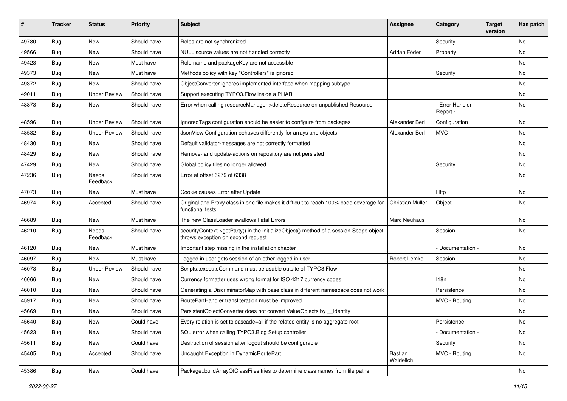| #     | <b>Tracker</b> | <b>Status</b>       | <b>Priority</b> | <b>Subject</b>                                                                                                               | <b>Assignee</b>      | Category                  | <b>Target</b><br>version | Has patch |
|-------|----------------|---------------------|-----------------|------------------------------------------------------------------------------------------------------------------------------|----------------------|---------------------------|--------------------------|-----------|
| 49780 | Bug            | New                 | Should have     | Roles are not synchronized                                                                                                   |                      | Security                  |                          | No        |
| 49566 | <b>Bug</b>     | New                 | Should have     | NULL source values are not handled correctly                                                                                 | Adrian Föder         | Property                  |                          | No        |
| 49423 | Bug            | New                 | Must have       | Role name and packageKey are not accessible                                                                                  |                      |                           |                          | No        |
| 49373 | Bug            | New                 | Must have       | Methods policy with key "Controllers" is ignored                                                                             |                      | Security                  |                          | No        |
| 49372 | <b>Bug</b>     | New                 | Should have     | ObjectConverter ignores implemented interface when mapping subtype                                                           |                      |                           |                          | No        |
| 49011 | <b>Bug</b>     | <b>Under Review</b> | Should have     | Support executing TYPO3. Flow inside a PHAR                                                                                  |                      |                           |                          | No        |
| 48873 | <b>Bug</b>     | New                 | Should have     | Error when calling resourceManager->deleteResource on unpublished Resource                                                   |                      | Error Handler<br>Report - |                          | No        |
| 48596 | Bug            | <b>Under Review</b> | Should have     | Ignored Tags configuration should be easier to configure from packages                                                       | Alexander Berl       | Configuration             |                          | No        |
| 48532 | <b>Bug</b>     | <b>Under Review</b> | Should have     | JsonView Configuration behaves differently for arrays and objects                                                            | Alexander Berl       | <b>MVC</b>                |                          | No        |
| 48430 | <b>Bug</b>     | New                 | Should have     | Default validator-messages are not correctly formatted                                                                       |                      |                           |                          | <b>No</b> |
| 48429 | Bug            | New                 | Should have     | Remove- and update-actions on repository are not persisted                                                                   |                      |                           |                          | No        |
| 47429 | Bug            | New                 | Should have     | Global policy files no longer allowed                                                                                        |                      | Security                  |                          | No        |
| 47236 | <b>Bug</b>     | Needs<br>Feedback   | Should have     | Error at offset 6279 of 6338                                                                                                 |                      |                           |                          | No        |
| 47073 | <b>Bug</b>     | New                 | Must have       | Cookie causes Error after Update                                                                                             |                      | Http                      |                          | No        |
| 46974 | <b>Bug</b>     | Accepted            | Should have     | Original and Proxy class in one file makes it difficult to reach 100% code coverage for<br>functional tests                  | Christian Müller     | Object                    |                          | No        |
| 46689 | Bug            | New                 | Must have       | The new ClassLoader swallows Fatal Errors                                                                                    | Marc Neuhaus         |                           |                          | No        |
| 46210 | <b>Bug</b>     | Needs<br>Feedback   | Should have     | securityContext->getParty() in the initializeObject() method of a session-Scope object<br>throws exception on second request |                      | Session                   |                          | No        |
| 46120 | <b>Bug</b>     | New                 | Must have       | Important step missing in the installation chapter                                                                           |                      | Documentation -           |                          | <b>No</b> |
| 46097 | Bug            | New                 | Must have       | Logged in user gets session of an other logged in user                                                                       | Robert Lemke         | Session                   |                          | No        |
| 46073 | Bug            | <b>Under Review</b> | Should have     | Scripts::executeCommand must be usable outsite of TYPO3.Flow                                                                 |                      |                           |                          | No        |
| 46066 | <b>Bug</b>     | New                 | Should have     | Currency formatter uses wrong format for ISO 4217 currency codes                                                             |                      | 118 <sub>n</sub>          |                          | No        |
| 46010 | Bug            | New                 | Should have     | Generating a DiscriminatorMap with base class in different namespace does not work                                           |                      | Persistence               |                          | No        |
| 45917 | Bug            | New                 | Should have     | RoutePartHandler transliteration must be improved                                                                            |                      | MVC - Routing             |                          | <b>No</b> |
| 45669 | Bug            | New                 | Should have     | PersistentObjectConverter does not convert ValueObjects by _identity                                                         |                      |                           |                          | No        |
| 45640 | Bug            | New                 | Could have      | Every relation is set to cascade=all if the related entity is no aggregate root                                              |                      | Persistence               |                          | N0        |
| 45623 | Bug            | New                 | Should have     | SQL error when calling TYPO3.Blog Setup controller                                                                           |                      | - Documentation -         |                          | No        |
| 45611 | Bug            | New                 | Could have      | Destruction of session after logout should be configurable                                                                   |                      | Security                  |                          | No        |
| 45405 | Bug            | Accepted            | Should have     | Uncaught Exception in DynamicRoutePart                                                                                       | Bastian<br>Waidelich | MVC - Routing             |                          | No        |
| 45386 | Bug            | New                 | Could have      | Package::buildArrayOfClassFiles tries to determine class names from file paths                                               |                      |                           |                          | No        |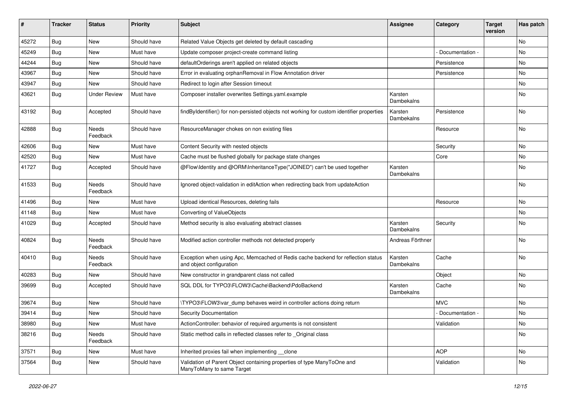| ∦     | <b>Tracker</b> | <b>Status</b>       | <b>Priority</b> | Subject                                                                                                      | <b>Assignee</b>       | Category        | <b>Target</b><br>version | Has patch |
|-------|----------------|---------------------|-----------------|--------------------------------------------------------------------------------------------------------------|-----------------------|-----------------|--------------------------|-----------|
| 45272 | Bug            | <b>New</b>          | Should have     | Related Value Objects get deleted by default cascading                                                       |                       |                 |                          | <b>No</b> |
| 45249 | <b>Bug</b>     | New                 | Must have       | Update composer project-create command listing                                                               |                       | Documentation - |                          | <b>No</b> |
| 44244 | Bug            | New                 | Should have     | defaultOrderings aren't applied on related objects                                                           |                       | Persistence     |                          | No        |
| 43967 | Bug            | <b>New</b>          | Should have     | Error in evaluating orphanRemoval in Flow Annotation driver                                                  |                       | Persistence     |                          | <b>No</b> |
| 43947 | <b>Bug</b>     | New                 | Should have     | Redirect to login after Session timeout                                                                      |                       |                 |                          | No        |
| 43621 | <b>Bug</b>     | <b>Under Review</b> | Must have       | Composer installer overwrites Settings.yaml.example                                                          | Karsten<br>Dambekalns |                 |                          | <b>No</b> |
| 43192 | <b>Bug</b>     | Accepted            | Should have     | findByIdentifier() for non-persisted objects not working for custom identifier properties                    | Karsten<br>Dambekalns | Persistence     |                          | No        |
| 42888 | Bug            | Needs<br>Feedback   | Should have     | ResourceManager chokes on non existing files                                                                 |                       | Resource        |                          | <b>No</b> |
| 42606 | Bug            | New                 | Must have       | Content Security with nested objects                                                                         |                       | Security        |                          | No        |
| 42520 | <b>Bug</b>     | New                 | Must have       | Cache must be flushed globally for package state changes                                                     |                       | Core            |                          | <b>No</b> |
| 41727 | Bug            | Accepted            | Should have     | @Flow\Identity and @ORM\InheritanceType("JOINED") can't be used together                                     | Karsten<br>Dambekalns |                 |                          | No        |
| 41533 | Bug            | Needs<br>Feedback   | Should have     | Ignored object-validation in editAction when redirecting back from updateAction                              |                       |                 |                          | <b>No</b> |
| 41496 | Bug            | New                 | Must have       | Upload identical Resources, deleting fails                                                                   |                       | Resource        |                          | No        |
| 41148 | <b>Bug</b>     | New                 | Must have       | Converting of ValueObjects                                                                                   |                       |                 |                          | <b>No</b> |
| 41029 | <b>Bug</b>     | Accepted            | Should have     | Method security is also evaluating abstract classes                                                          | Karsten<br>Dambekalns | Security        |                          | No        |
| 40824 | Bug            | Needs<br>Feedback   | Should have     | Modified action controller methods not detected properly                                                     | Andreas Förthner      |                 |                          | <b>No</b> |
| 40410 | <b>Bug</b>     | Needs<br>Feedback   | Should have     | Exception when using Apc, Memcached of Redis cache backend for reflection status<br>and object configuration | Karsten<br>Dambekalns | Cache           |                          | No        |
| 40283 | Bug            | <b>New</b>          | Should have     | New constructor in grandparent class not called                                                              |                       | Object          |                          | <b>No</b> |
| 39699 | Bug            | Accepted            | Should have     | SQL DDL for TYPO3\FLOW3\Cache\Backend\PdoBackend                                                             | Karsten<br>Dambekalns | Cache           |                          | <b>No</b> |
| 39674 | <b>Bug</b>     | New                 | Should have     | \TYPO3\FLOW3\var dump behaves weird in controller actions doing return                                       |                       | <b>MVC</b>      |                          | No        |
| 39414 | Bug            | New                 | Should have     | <b>Security Documentation</b>                                                                                |                       | Documentation - |                          | No        |
| 38980 | <b>Bug</b>     | New                 | Must have       | ActionController: behavior of required arguments is not consistent                                           |                       | Validation      |                          | No        |
| 38216 | Bug            | Needs<br>Feedback   | Should have     | Static method calls in reflected classes refer to _Original class                                            |                       |                 |                          | No        |
| 37571 | Bug            | New                 | Must have       | Inherited proxies fail when implementing clone                                                               |                       | <b>AOP</b>      |                          | No        |
| 37564 | <b>Bug</b>     | New                 | Should have     | Validation of Parent Object containing properties of type ManyToOne and<br>ManyToMany to same Target         |                       | Validation      |                          | No        |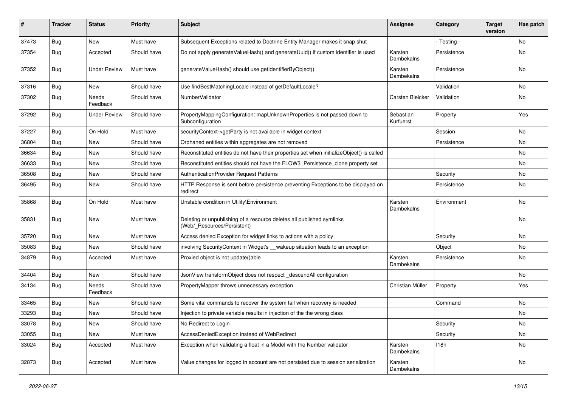| ∦     | <b>Tracker</b> | <b>Status</b>            | <b>Priority</b> | <b>Subject</b>                                                                                       | <b>Assignee</b>        | Category    | <b>Target</b><br>version | Has patch |
|-------|----------------|--------------------------|-----------------|------------------------------------------------------------------------------------------------------|------------------------|-------------|--------------------------|-----------|
| 37473 | Bug            | New                      | Must have       | Subsequent Exceptions related to Doctrine Entity Manager makes it snap shut                          |                        | - Testing - |                          | No        |
| 37354 | Bug            | Accepted                 | Should have     | Do not apply generateValueHash() and generateUuid() if custom identifier is used                     | Karsten<br>Dambekalns  | Persistence |                          | No        |
| 37352 | Bug            | <b>Under Review</b>      | Must have       | generateValueHash() should use getIdentifierByObject()                                               | Karsten<br>Dambekalns  | Persistence |                          | <b>No</b> |
| 37316 | Bug            | <b>New</b>               | Should have     | Use findBestMatchingLocale instead of getDefaultLocale?                                              |                        | Validation  |                          | <b>No</b> |
| 37302 | Bug            | Needs<br>Feedback        | Should have     | NumberValidator                                                                                      | Carsten Bleicker       | Validation  |                          | No        |
| 37292 | Bug            | <b>Under Review</b>      | Should have     | PropertyMappingConfiguration::mapUnknownProperties is not passed down to<br>Subconfiguration         | Sebastian<br>Kurfuerst | Property    |                          | Yes       |
| 37227 | Bug            | On Hold                  | Must have       | securityContext->getParty is not available in widget context                                         |                        | Session     |                          | <b>No</b> |
| 36804 | Bug            | New                      | Should have     | Orphaned entities within aggregates are not removed                                                  |                        | Persistence |                          | No        |
| 36634 | Bug            | <b>New</b>               | Should have     | Reconstituted entities do not have their properties set when initializeObject() is called            |                        |             |                          | <b>No</b> |
| 36633 | Bug            | New                      | Should have     | Reconstituted entities should not have the FLOW3_Persistence_clone property set                      |                        |             |                          | <b>No</b> |
| 36508 | Bug            | New                      | Should have     | AuthenticationProvider Request Patterns                                                              |                        | Security    |                          | No        |
| 36495 | <b>Bug</b>     | New                      | Should have     | HTTP Response is sent before persistence preventing Exceptions to be displayed on<br>redirect        |                        | Persistence |                          | No        |
| 35868 | Bug            | On Hold                  | Must have       | Unstable condition in Utility\Environment                                                            | Karsten<br>Dambekalns  | Environment |                          | <b>No</b> |
| 35831 | <b>Bug</b>     | New                      | Must have       | Deleting or unpublishing of a resource deletes all published symlinks<br>(Web/_Resources/Persistent) |                        |             |                          | No        |
| 35720 | <b>Bug</b>     | New                      | Must have       | Access denied Exception for widget links to actions with a policy                                    |                        | Security    |                          | No        |
| 35083 | Bug            | <b>New</b>               | Should have     | involving SecurityContext in Widget's __wakeup situation leads to an exception                       |                        | Object      |                          | No        |
| 34879 | Bug            | Accepted                 | Must have       | Proxied object is not update()able                                                                   | Karsten<br>Dambekalns  | Persistence |                          | No        |
| 34404 | Bug            | New                      | Should have     | JsonView transformObject does not respect_descendAll configuration                                   |                        |             |                          | No        |
| 34134 | <b>Bug</b>     | <b>Needs</b><br>Feedback | Should have     | PropertyMapper throws unnecessary exception                                                          | Christian Müller       | Property    |                          | Yes       |
| 33465 | <b>Bug</b>     | New                      | Should have     | Some vital commands to recover the system fail when recovery is needed                               |                        | Command     |                          | <b>No</b> |
| 33293 | <b>Bug</b>     | New                      | Should have     | Injection to private variable results in injection of the the wrong class                            |                        |             |                          | No        |
| 33078 | <b>Bug</b>     | New                      | Should have     | No Redirect to Login                                                                                 |                        | Security    |                          | No        |
| 33055 | <b>Bug</b>     | New                      | Must have       | AccessDeniedException instead of WebRedirect                                                         |                        | Security    |                          | No        |
| 33024 | Bug            | Accepted                 | Must have       | Exception when validating a float in a Model with the Number validator                               | Karsten<br>Dambekalns  | 118n        |                          | No        |
| 32873 | <b>Bug</b>     | Accepted                 | Must have       | Value changes for logged in account are not persisted due to session serialization                   | Karsten<br>Dambekalns  |             |                          | No        |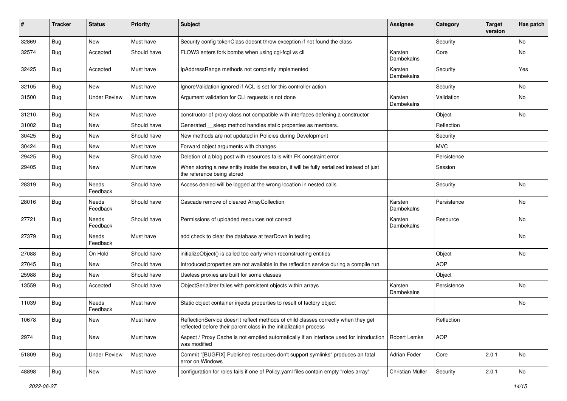| #     | <b>Tracker</b> | <b>Status</b>       | <b>Priority</b> | <b>Subject</b>                                                                                                                                          | <b>Assignee</b>       | Category    | <b>Target</b><br>version | Has patch |
|-------|----------------|---------------------|-----------------|---------------------------------------------------------------------------------------------------------------------------------------------------------|-----------------------|-------------|--------------------------|-----------|
| 32869 | Bug            | New                 | Must have       | Security config tokenClass doesnt throw exception if not found the class                                                                                |                       | Security    |                          | No        |
| 32574 | Bug            | Accepted            | Should have     | FLOW3 enters fork bombs when using cgi-fcgi vs cli                                                                                                      | Karsten<br>Dambekalns | Core        |                          | No        |
| 32425 | Bug            | Accepted            | Must have       | IpAddressRange methods not completly implemented                                                                                                        | Karsten<br>Dambekalns | Security    |                          | Yes       |
| 32105 | Bug            | New                 | Must have       | IgnoreValidation ignored if ACL is set for this controller action                                                                                       |                       | Security    |                          | No.       |
| 31500 | Bug            | <b>Under Review</b> | Must have       | Argument validation for CLI requests is not done                                                                                                        | Karsten<br>Dambekalns | Validation  |                          | No        |
| 31210 | <b>Bug</b>     | <b>New</b>          | Must have       | constructor of proxy class not compatible with interfaces defening a constructor                                                                        |                       | Object      |                          | No.       |
| 31002 | Bug            | New                 | Should have     | Generated __sleep method handles static properties as members.                                                                                          |                       | Reflection  |                          |           |
| 30425 | Bug            | New                 | Should have     | New methods are not updated in Policies during Development                                                                                              |                       | Security    |                          |           |
| 30424 | <b>Bug</b>     | New                 | Must have       | Forward object arguments with changes                                                                                                                   |                       | <b>MVC</b>  |                          |           |
| 29425 | Bug            | New                 | Should have     | Deletion of a blog post with resources fails with FK constraint error                                                                                   |                       | Persistence |                          |           |
| 29405 | Bug            | New                 | Must have       | When storing a new entity inside the session, it will be fully serialized instead of just<br>the reference being stored                                 |                       | Session     |                          |           |
| 28319 | Bug            | Needs<br>Feedback   | Should have     | Access denied will be logged at the wrong location in nested calls                                                                                      |                       | Security    |                          | <b>No</b> |
| 28016 | Bug            | Needs<br>Feedback   | Should have     | Cascade remove of cleared ArrayCollection                                                                                                               | Karsten<br>Dambekalns | Persistence |                          | No        |
| 27721 | <b>Bug</b>     | Needs<br>Feedback   | Should have     | Permissions of uploaded resources not correct                                                                                                           | Karsten<br>Dambekalns | Resource    |                          | No        |
| 27379 | Bug            | Needs<br>Feedback   | Must have       | add check to clear the database at tearDown in testing                                                                                                  |                       |             |                          | No        |
| 27088 | Bug            | On Hold             | Should have     | initializeObject() is called too early when reconstructing entities                                                                                     |                       | Object      |                          | No        |
| 27045 | <b>Bug</b>     | New                 | Should have     | Introduced properties are not available in the reflection service during a compile run                                                                  |                       | <b>AOP</b>  |                          |           |
| 25988 | Bug            | New                 | Should have     | Useless proxies are built for some classes                                                                                                              |                       | Object      |                          |           |
| 13559 | Bug            | Accepted            | Should have     | ObjectSerializer failes with persistent objects within arrays                                                                                           | Karsten<br>Dambekalns | Persistence |                          | No        |
| 11039 | Bug            | Needs<br>Feedback   | Must have       | Static object container injects properties to result of factory object                                                                                  |                       |             |                          | No        |
| 10678 | Bug            | New                 | Must have       | ReflectionService doesn't reflect methods of child classes correctly when they get<br>reflected before their parent class in the initialization process |                       | Reflection  |                          |           |
| 2974  | Bug            | New                 | Must have       | Aspect / Proxy Cache is not emptied automatically if an interface used for introduction<br>was modified                                                 | Robert Lemke          | <b>AOP</b>  |                          |           |
| 51809 | <b>Bug</b>     | <b>Under Review</b> | Must have       | Commit "[BUGFIX] Published resources don't support symlinks" produces an fatal<br>error on Windows                                                      | Adrian Föder          | Core        | 2.0.1                    | No        |
| 48898 | <b>Bug</b>     | New                 | Must have       | configuration for roles fails if one of Policy yaml files contain empty "roles array"                                                                   | Christian Müller      | Security    | 2.0.1                    | No        |